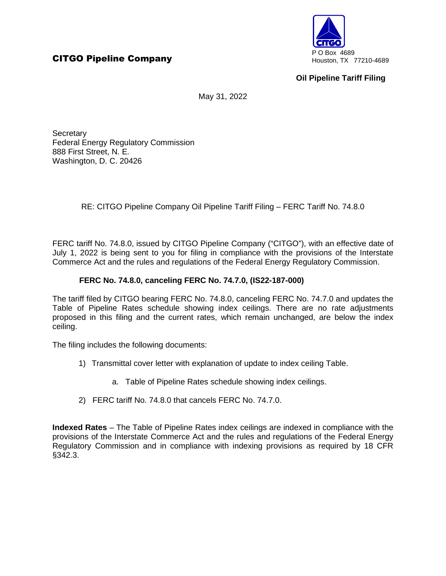

## **Oil Pipeline Tariff Filing**

May 31, 2022

**Secretary** Federal Energy Regulatory Commission 888 First Street, N. E. Washington, D. C. 20426

RE: CITGO Pipeline Company Oil Pipeline Tariff Filing – FERC Tariff No. 74.8.0

FERC tariff No. 74.8.0, issued by CITGO Pipeline Company ("CITGO"), with an effective date of July 1, 2022 is being sent to you for filing in compliance with the provisions of the Interstate Commerce Act and the rules and regulations of the Federal Energy Regulatory Commission.

## **FERC No. 74.8.0, canceling FERC No. 74.7.0, (IS22-187-000)**

The tariff filed by CITGO bearing FERC No. 74.8.0, canceling FERC No. 74.7.0 and updates the Table of Pipeline Rates schedule showing index ceilings. There are no rate adjustments proposed in this filing and the current rates, which remain unchanged, are below the index ceiling.

The filing includes the following documents:

- 1) Transmittal cover letter with explanation of update to index ceiling Table.
	- a. Table of Pipeline Rates schedule showing index ceilings.
- 2) FERC tariff No. 74.8.0 that cancels FERC No. 74.7.0.

**Indexed Rates** – The Table of Pipeline Rates index ceilings are indexed in compliance with the provisions of the Interstate Commerce Act and the rules and regulations of the Federal Energy Regulatory Commission and in compliance with indexing provisions as required by 18 CFR §342.3.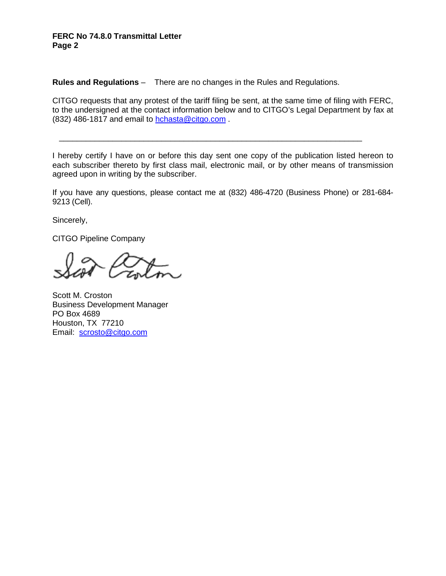## **FERC No 74.8.0 Transmittal Letter Page 2**

**Rules and Regulations** – There are no changes in the Rules and Regulations.

CITGO requests that any protest of the tariff filing be sent, at the same time of filing with FERC, to the undersigned at the contact information below and to CITGO's Legal Department by fax at (832) 486-1817 and email to hchasta@citgo.com .

I hereby certify I have on or before this day sent one copy of the publication listed hereon to each subscriber thereto by first class mail, electronic mail, or by other means of transmission agreed upon in writing by the subscriber.

\_\_\_\_\_\_\_\_\_\_\_\_\_\_\_\_\_\_\_\_\_\_\_\_\_\_\_\_\_\_\_\_\_\_\_\_\_\_\_\_\_\_\_\_\_\_\_\_\_\_\_\_\_\_\_\_\_\_\_\_\_\_\_\_\_\_\_\_

If you have any questions, please contact me at (832) 486-4720 (Business Phone) or 281-684- 9213 (Cell).

Sincerely,

CITGO Pipeline Company

Scott M. Croston Business Development Manager PO Box 4689 Houston, TX 77210 Email: scrosto@citgo.com